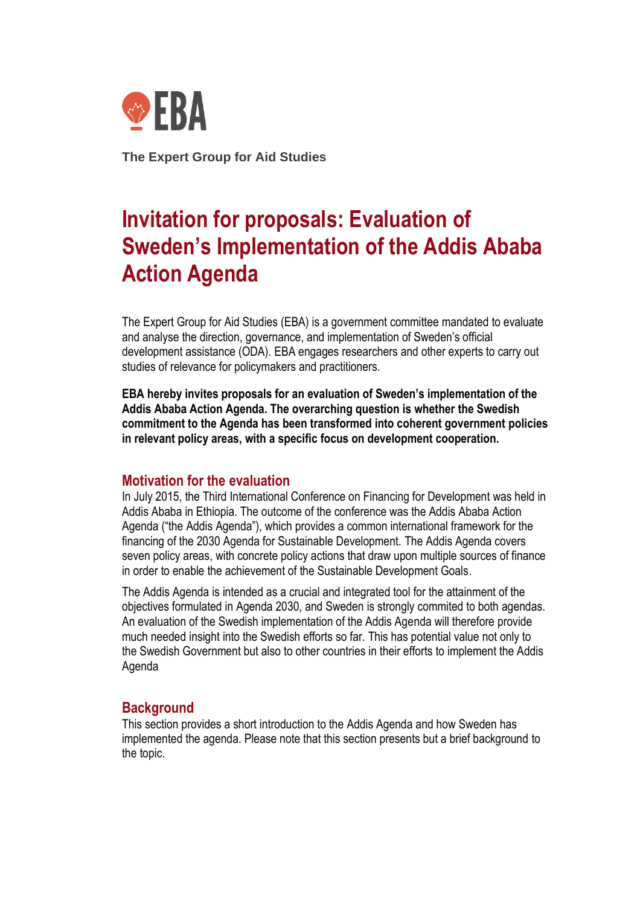

**The Expert Group for Aid Studies**

# **Invitation for proposals: Evaluation of Sweden's Implementation of the Addis Ababa Action Agenda**

The Expert Group for Aid Studies (EBA) is a government committee mandated to evaluate and analyse the direction, governance, and implementation of Sweden's official development assistance (ODA). EBA engages researchers and other experts to carry out studies of relevance for policymakers and practitioners.

**EBA hereby invites proposals for an evaluation of Sweden's implementation of the Addis Ababa Action Agenda. The overarching question is whether the Swedish commitment to the Agenda has been transformed into coherent government policies in relevant policy areas, with a specific focus on development cooperation.**

# **Motivation for the evaluation**

In July 2015, the Third International Conference on Financing for Development was held in Addis Ababa in Ethiopia. The outcome of the conference was the Addis Ababa Action Agenda ("the Addis Agenda"), which provides a common international framework for the financing of the 2030 Agenda for Sustainable Development. The Addis Agenda covers seven policy areas, with concrete policy actions that draw upon multiple sources of finance in order to enable the achievement of the Sustainable Development Goals.

The Addis Agenda is intended as a crucial and integrated tool for the attainment of the objectives formulated in Agenda 2030, and Sweden is strongly commited to both agendas. An evaluation of the Swedish implementation of the Addis Agenda will therefore provide much needed insight into the Swedish efforts so far. This has potential value not only to the Swedish Government but also to other countries in their efforts to implement the Addis Agenda

# **Background**

This section provides a short introduction to the Addis Agenda and how Sweden has implemented the agenda. Please note that this section presents but a brief background to the topic.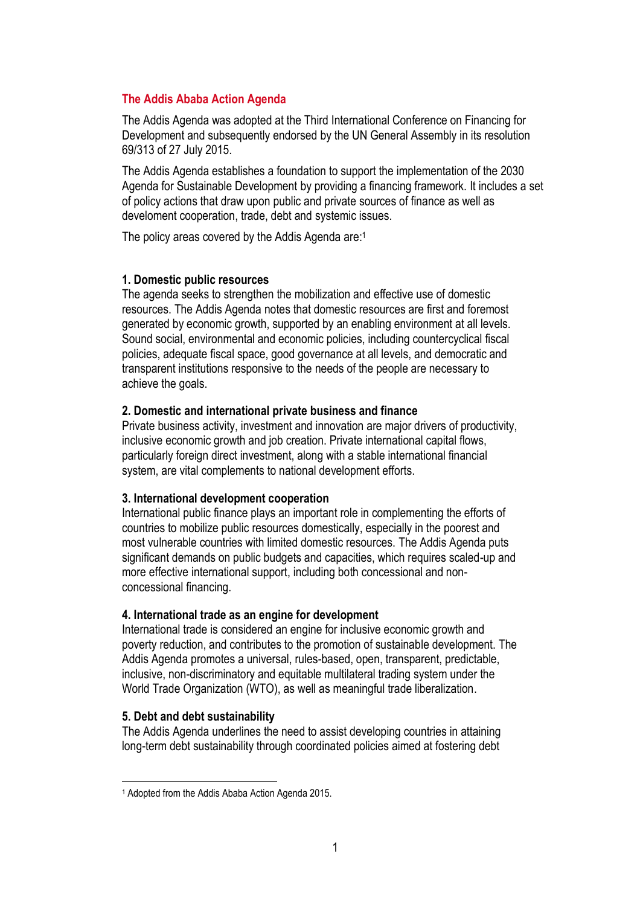## **The Addis Ababa Action Agenda**

The Addis Agenda was adopted at the Third International Conference on Financing for Development and subsequently endorsed by the UN General Assembly in its resolution 69/313 of 27 July 2015.

The Addis Agenda establishes a foundation to support the implementation of the 2030 Agenda for Sustainable Development by providing a financing framework. It includes a set of policy actions that draw upon public and private sources of finance as well as develoment cooperation, trade, debt and systemic issues.

The policy areas covered by the Addis Agenda are: 1

## **1. Domestic public resources**

The agenda seeks to strengthen the mobilization and effective use of domestic resources. The Addis Agenda notes that domestic resources are first and foremost generated by economic growth, supported by an enabling environment at all levels. Sound social, environmental and economic policies, including countercyclical fiscal policies, adequate fiscal space, good governance at all levels, and democratic and transparent institutions responsive to the needs of the people are necessary to achieve the goals.

### **2. Domestic and international private business and finance**

Private business activity, investment and innovation are major drivers of productivity, inclusive economic growth and job creation. Private international capital flows, particularly foreign direct investment, along with a stable international financial system, are vital complements to national development efforts.

#### **3. International development cooperation**

International public finance plays an important role in complementing the efforts of countries to mobilize public resources domestically, especially in the poorest and most vulnerable countries with limited domestic resources. The Addis Agenda puts significant demands on public budgets and capacities, which requires scaled-up and more effective international support, including both concessional and nonconcessional financing.

#### **4. International trade as an engine for development**

International trade is considered an engine for inclusive economic growth and poverty reduction, and contributes to the promotion of sustainable development. The Addis Agenda promotes a universal, rules-based, open, transparent, predictable, inclusive, non-discriminatory and equitable multilateral trading system under the World Trade Organization (WTO), as well as meaningful trade liberalization.

### **5. Debt and debt sustainability**

The Addis Agenda underlines the need to assist developing countries in attaining long-term debt sustainability through coordinated policies aimed at fostering debt

<sup>1</sup> Adopted from the Addis Ababa Action Agenda 2015.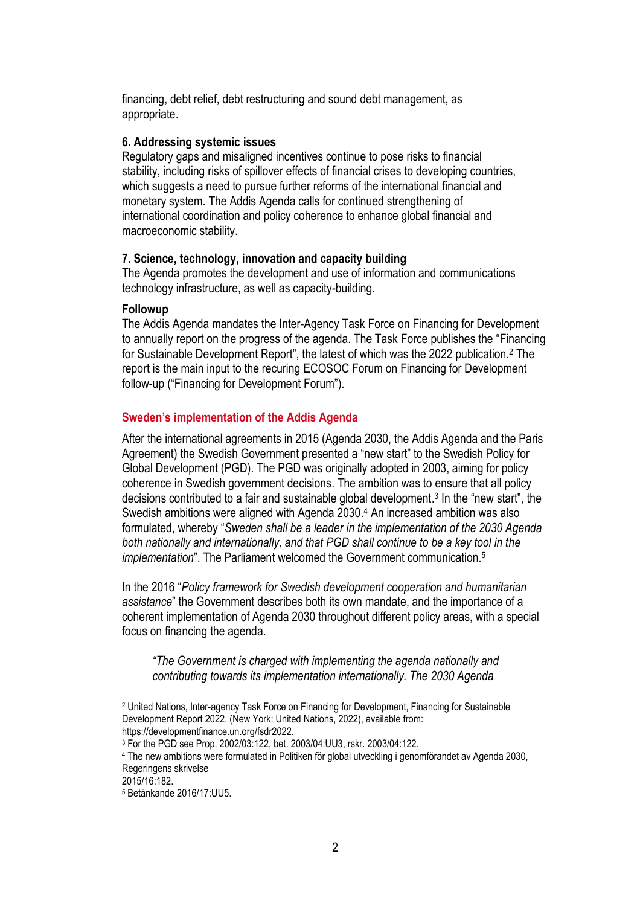financing, debt relief, debt restructuring and sound debt management, as appropriate.

## **6. Addressing systemic issues**

Regulatory gaps and misaligned incentives continue to pose risks to financial stability, including risks of spillover effects of financial crises to developing countries, which suggests a need to pursue further reforms of the international financial and monetary system. The Addis Agenda calls for continued strengthening of international coordination and policy coherence to enhance global financial and macroeconomic stability.

# **7. Science, technology, innovation and capacity building**

The Agenda promotes the development and use of information and communications technology infrastructure, as well as capacity-building.

## **Followup**

The Addis Agenda mandates the Inter-Agency Task Force on Financing for Development to annually report on the progress of the agenda. The Task Force publishes the "Financing for Sustainable Development Report", the latest of which was the 2022 publication.<sup>2</sup> The report is the main input to the recuring ECOSOC Forum on Financing for Development follow-up ("Financing for Development Forum").

# **Sweden's implementation of the Addis Agenda**

After the international agreements in 2015 (Agenda 2030, the Addis Agenda and the Paris Agreement) the Swedish Government presented a "new start" to the Swedish Policy for Global Development (PGD). The PGD was originally adopted in 2003, aiming for policy coherence in Swedish government decisions. The ambition was to ensure that all policy decisions contributed to a fair and sustainable global development. 3 In the "new start", the Swedish ambitions were aligned with Agenda 2030.<sup>4</sup> An increased ambition was also formulated, whereby "*Sweden shall be a leader in the implementation of the 2030 Agenda both nationally and internationally, and that PGD shall continue to be a key tool in the implementation*". The Parliament welcomed the Government communication.<sup>5</sup>

In the 2016 "*Policy framework for Swedish development cooperation and humanitarian assistance*" the Government describes both its own mandate, and the importance of a coherent implementation of Agenda 2030 throughout different policy areas, with a special focus on financing the agenda.

*"The Government is charged with implementing the agenda nationally and contributing towards its implementation internationally. The 2030 Agenda* 

<sup>2</sup> United Nations, Inter-agency Task Force on Financing for Development, Financing for Sustainable Development Report 2022. (New York: United Nations, 2022), available from: https://developmentfinance.un.org/fsdr2022.

<sup>3</sup> For the PGD see Prop. 2002/03:122, bet. 2003/04:UU3, rskr. 2003/04:122.

<sup>4</sup> The new ambitions were formulated in Politiken för global utveckling i genomförandet av Agenda 2030, Regeringens skrivelse

<sup>2015/16:182.</sup>

<sup>5</sup> Betänkande 2016/17:UU5.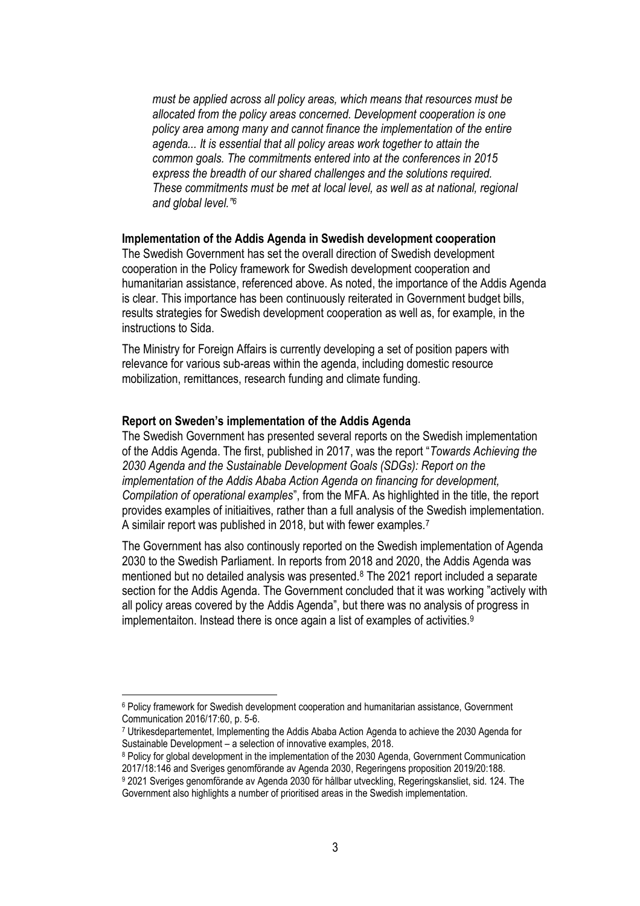*must be applied across all policy areas, which means that resources must be allocated from the policy areas concerned. Development cooperation is one policy area among many and cannot finance the implementation of the entire agenda... It is essential that all policy areas work together to attain the common goals. The commitments entered into at the conferences in 2015 express the breadth of our shared challenges and the solutions required. These commitments must be met at local level, as well as at national, regional and global level."<sup>6</sup>*

### **Implementation of the Addis Agenda in Swedish development cooperation**

The Swedish Government has set the overall direction of Swedish development cooperation in the Policy framework for Swedish development cooperation and humanitarian assistance, referenced above. As noted, the importance of the Addis Agenda is clear. This importance has been continuously reiterated in Government budget bills, results strategies for Swedish development cooperation as well as, for example, in the instructions to Sida.

The Ministry for Foreign Affairs is currently developing a set of position papers with relevance for various sub-areas within the agenda, including domestic resource mobilization, remittances, research funding and climate funding.

### **Report on Sweden's implementation of the Addis Agenda**

The Swedish Government has presented several reports on the Swedish implementation of the Addis Agenda. The first, published in 2017, was the report "*Towards Achieving the 2030 Agenda and the Sustainable Development Goals (SDGs): Report on the implementation of the Addis Ababa Action Agenda on financing for development, Compilation of operational examples*", from the MFA. As highlighted in the title, the report provides examples of initiaitives, rather than a full analysis of the Swedish implementation. A similair report was published in 2018, but with fewer examples.<sup>7</sup>

The Government has also continously reported on the Swedish implementation of Agenda 2030 to the Swedish Parliament. In reports from 2018 and 2020, the Addis Agenda was mentioned but no detailed analysis was presented.<sup>8</sup> The 2021 report included a separate section for the Addis Agenda. The Government concluded that it was working "actively with all policy areas covered by the Addis Agenda", but there was no analysis of progress in implementaiton. Instead there is once again a list of examples of activities.<sup>9</sup>

<sup>8</sup> Policy for global development in the implementation of the 2030 Agenda, Government Communication 2017/18:146 and Sveriges genomförande av Agenda 2030, Regeringens proposition 2019/20:188.

<sup>6</sup> Policy framework for Swedish development cooperation and humanitarian assistance, Government Communication 2016/17:60, p. 5-6.

<sup>7</sup> Utrikesdepartementet, Implementing the Addis Ababa Action Agenda to achieve the 2030 Agenda for Sustainable Development – a selection of innovative examples, 2018.

<sup>9</sup> 2021 Sveriges genomförande av Agenda 2030 för hållbar utveckling, Regeringskansliet, sid. 124. The Government also highlights a number of prioritised areas in the Swedish implementation.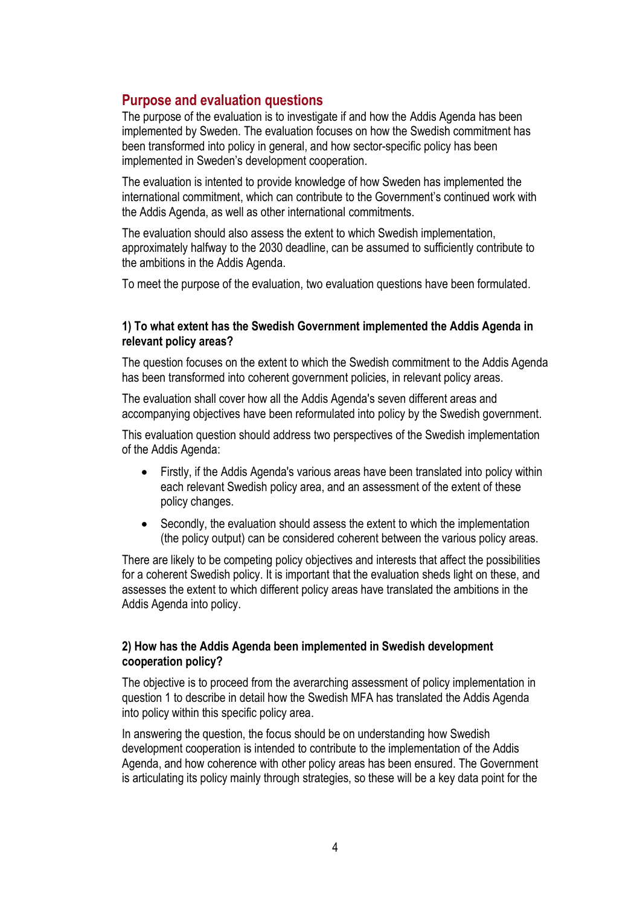# **Purpose and evaluation questions**

The purpose of the evaluation is to investigate if and how the Addis Agenda has been implemented by Sweden. The evaluation focuses on how the Swedish commitment has been transformed into policy in general, and how sector-specific policy has been implemented in Sweden's development cooperation.

The evaluation is intented to provide knowledge of how Sweden has implemented the international commitment, which can contribute to the Government's continued work with the Addis Agenda, as well as other international commitments.

The evaluation should also assess the extent to which Swedish implementation, approximately halfway to the 2030 deadline, can be assumed to sufficiently contribute to the ambitions in the Addis Agenda.

To meet the purpose of the evaluation, two evaluation questions have been formulated.

## **1) To what extent has the Swedish Government implemented the Addis Agenda in relevant policy areas?**

The question focuses on the extent to which the Swedish commitment to the Addis Agenda has been transformed into coherent government policies, in relevant policy areas.

The evaluation shall cover how all the Addis Agenda's seven different areas and accompanying objectives have been reformulated into policy by the Swedish government.

This evaluation question should address two perspectives of the Swedish implementation of the Addis Agenda:

- Firstly, if the Addis Agenda's various areas have been translated into policy within each relevant Swedish policy area, and an assessment of the extent of these policy changes.
- Secondly, the evaluation should assess the extent to which the implementation (the policy output) can be considered coherent between the various policy areas.

There are likely to be competing policy objectives and interests that affect the possibilities for a coherent Swedish policy. It is important that the evaluation sheds light on these, and assesses the extent to which different policy areas have translated the ambitions in the Addis Agenda into policy.

# **2) How has the Addis Agenda been implemented in Swedish development cooperation policy?**

The objective is to proceed from the averarching assessment of policy implementation in question 1 to describe in detail how the Swedish MFA has translated the Addis Agenda into policy within this specific policy area.

In answering the question, the focus should be on understanding how Swedish development cooperation is intended to contribute to the implementation of the Addis Agenda, and how coherence with other policy areas has been ensured. The Government is articulating its policy mainly through strategies, so these will be a key data point for the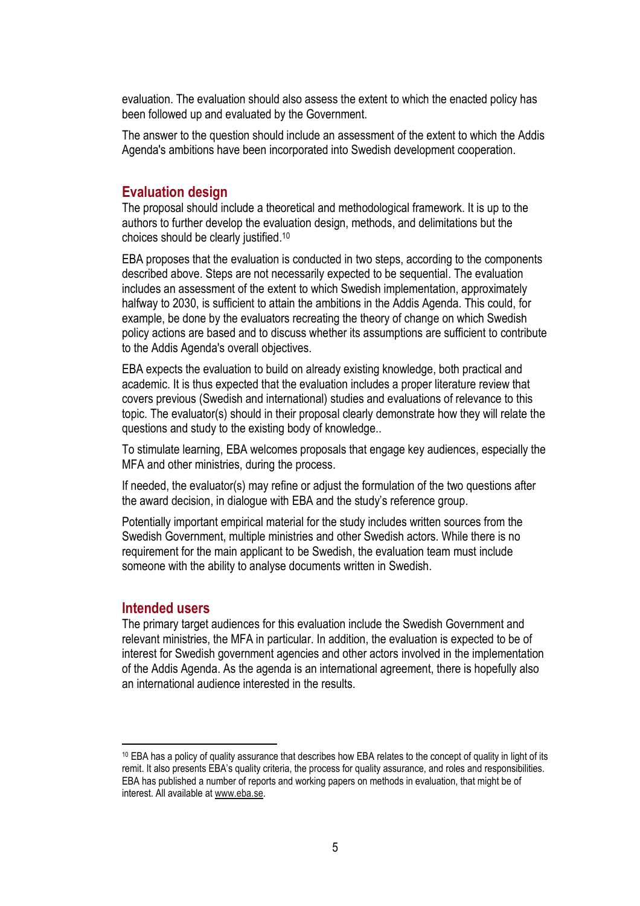evaluation. The evaluation should also assess the extent to which the enacted policy has been followed up and evaluated by the Government.

The answer to the question should include an assessment of the extent to which the Addis Agenda's ambitions have been incorporated into Swedish development cooperation.

## **Evaluation design**

The proposal should include a theoretical and methodological framework. It is up to the authors to further develop the evaluation design, methods, and delimitations but the choices should be clearly justified. 10

EBA proposes that the evaluation is conducted in two steps, according to the components described above. Steps are not necessarily expected to be sequential. The evaluation includes an assessment of the extent to which Swedish implementation, approximately halfway to 2030, is sufficient to attain the ambitions in the Addis Agenda. This could, for example, be done by the evaluators recreating the theory of change on which Swedish policy actions are based and to discuss whether its assumptions are sufficient to contribute to the Addis Agenda's overall objectives.

EBA expects the evaluation to build on already existing knowledge, both practical and academic. It is thus expected that the evaluation includes a proper literature review that covers previous (Swedish and international) studies and evaluations of relevance to this topic. The evaluator(s) should in their proposal clearly demonstrate how they will relate the questions and study to the existing body of knowledge..

To stimulate learning, EBA welcomes proposals that engage key audiences, especially the MFA and other ministries, during the process.

If needed, the evaluator(s) may refine or adjust the formulation of the two questions after the award decision, in dialogue with EBA and the study's reference group.

Potentially important empirical material for the study includes written sources from the Swedish Government, multiple ministries and other Swedish actors. While there is no requirement for the main applicant to be Swedish, the evaluation team must include someone with the ability to analyse documents written in Swedish.

## **Intended users**

The primary target audiences for this evaluation include the Swedish Government and relevant ministries, the MFA in particular. In addition, the evaluation is expected to be of interest for Swedish government agencies and other actors involved in the implementation of the Addis Agenda. As the agenda is an international agreement, there is hopefully also an international audience interested in the results.

<sup>&</sup>lt;sup>10</sup> EBA has a policy of quality assurance that describes how EBA relates to the concept of quality in light of its remit. It also presents EBA's quality criteria, the process for quality assurance, and roles and responsibilities. EBA has published a number of reports and working papers on methods in evaluation, that might be of interest. All available at [www.eba.se.](http://www.eba.se/)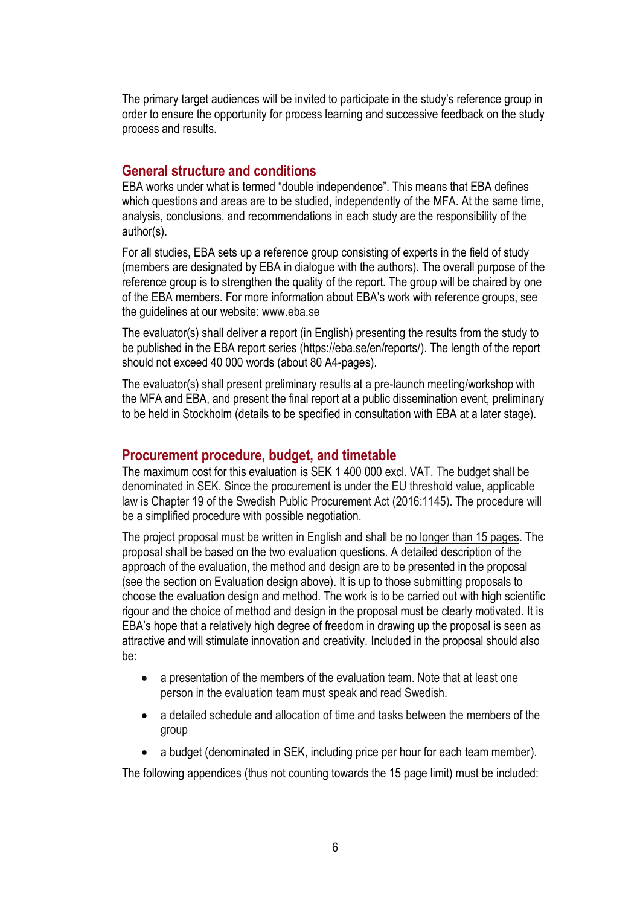The primary target audiences will be invited to participate in the study's reference group in order to ensure the opportunity for process learning and successive feedback on the study process and results.

# **General structure and conditions**

EBA works under what is termed "double independence". This means that EBA defines which questions and areas are to be studied, independently of the MFA. At the same time, analysis, conclusions, and recommendations in each study are the responsibility of the author(s).

For all studies, EBA sets up a reference group consisting of experts in the field of study (members are designated by EBA in dialogue with the authors). The overall purpose of the reference group is to strengthen the quality of the report. The group will be chaired by one of the EBA members. For more information about EBA's work with reference groups, see the guidelines at our website: [www.eba.se](http://www.eba.se/)

The evaluator(s) shall deliver a report (in English) presenting the results from the study to be published in the EBA report series (https://eba.se/en/reports/). The length of the report should not exceed 40 000 words (about 80 A4-pages).

The evaluator(s) shall present preliminary results at a pre-launch meeting/workshop with the MFA and EBA, and present the final report at a public dissemination event, preliminary to be held in Stockholm (details to be specified in consultation with EBA at a later stage).

# **Procurement procedure, budget, and timetable**

The maximum cost for this evaluation is SEK 1 400 000 excl. VAT. The budget shall be denominated in SEK. Since the procurement is under the EU threshold value, applicable law is Chapter 19 of the Swedish Public Procurement Act (2016:1145). The procedure will be a simplified procedure with possible negotiation.

The project proposal must be written in English and shall be no longer than 15 pages. The proposal shall be based on the two evaluation questions. A detailed description of the approach of the evaluation, the method and design are to be presented in the proposal (see the section on Evaluation design above). It is up to those submitting proposals to choose the evaluation design and method. The work is to be carried out with high scientific rigour and the choice of method and design in the proposal must be clearly motivated. It is EBA's hope that a relatively high degree of freedom in drawing up the proposal is seen as attractive and will stimulate innovation and creativity. Included in the proposal should also be:

- a presentation of the members of the evaluation team. Note that at least one person in the evaluation team must speak and read Swedish.
- a detailed schedule and allocation of time and tasks between the members of the group
- a budget (denominated in SEK, including price per hour for each team member).

The following appendices (thus not counting towards the 15 page limit) must be included: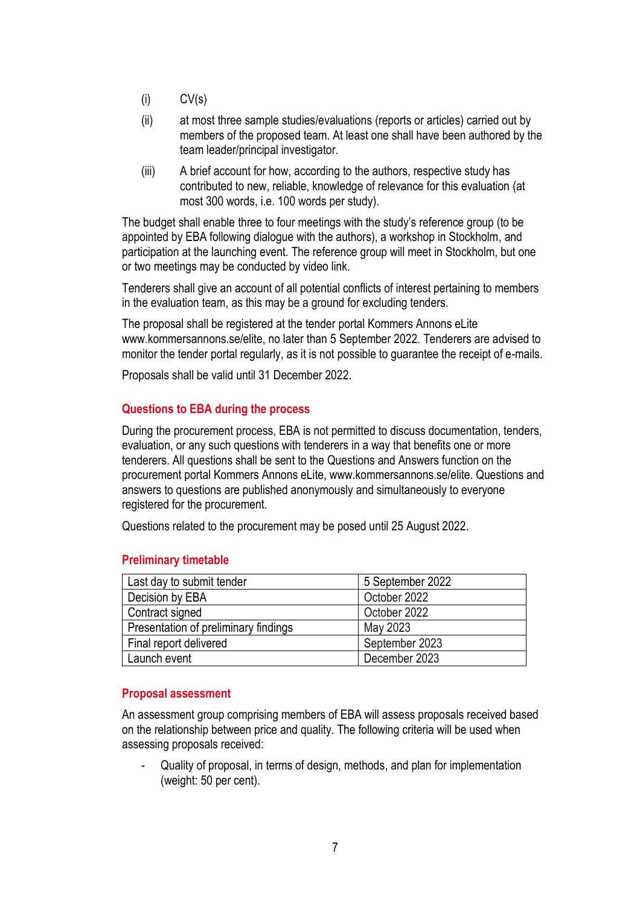- $(i)$   $CV(s)$
- (ii) at most three sample studies/evaluations (reports or articles) carried out by members of the proposed team. At least one shall have been authored by the team leader/principal investigator.
- (iii) A brief account for how, according to the authors, respective study has contributed to new, reliable, knowledge of relevance for this evaluation (at most 300 words, i.e. 100 words per study).

The budget shall enable three to four meetings with the study's reference group (to be appointed by EBA following dialogue with the authors), a workshop in Stockholm, and participation at the launching event. The reference group will meet in Stockholm, but one or two meetings may be conducted by video link.

Tenderers shall give an account of all potential conflicts of interest pertaining to members in the evaluation team, as this may be a ground for excluding tenders.

The proposal shall be registered at the tender portal Kommers Annons eLite www.kommersannons.se/elite, no later than 5 September 2022. Tenderers are advised to monitor the tender portal regularly, as it is not possible to guarantee the receipt of e-mails.

Proposals shall be valid until 31 December 2022.

## **Questions to EBA during the process**

During the procurement process, EBA is not permitted to discuss documentation, tenders, evaluation, or any such questions with tenderers in a way that benefits one or more tenderers. All questions shall be sent to the Questions and Answers function on the procurement portal Kommers Annons eLite, www.kommersannons.se/elite. Questions and answers to questions are published anonymously and simultaneously to everyone registered for the procurement.

Questions related to the procurement may be posed until 25 August 2022.

## **Preliminary timetable**

| Last day to submit tender            | 5 September 2022 |
|--------------------------------------|------------------|
| Decision by EBA                      | October 2022     |
| Contract signed                      | October 2022     |
| Presentation of preliminary findings | May 2023         |
| Final report delivered               | September 2023   |
| Launch event                         | December 2023    |

## **Proposal assessment**

An assessment group comprising members of EBA will assess proposals received based on the relationship between price and quality. The following criteria will be used when assessing proposals received:

- Quality of proposal, in terms of design, methods, and plan for implementation (weight: 50 per cent).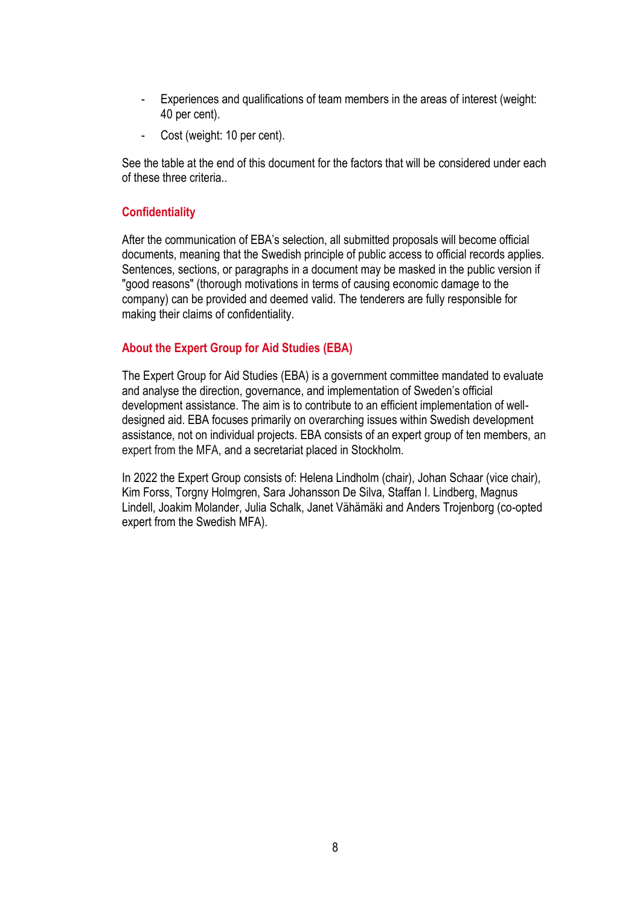- Experiences and qualifications of team members in the areas of interest (weight: 40 per cent).
- Cost (weight: 10 per cent).

See the table at the end of this document for the factors that will be considered under each of these three criteria..

## **Confidentiality**

After the communication of EBA's selection, all submitted proposals will become official documents, meaning that the Swedish principle of public access to official records applies. Sentences, sections, or paragraphs in a document may be masked in the public version if "good reasons" (thorough motivations in terms of causing economic damage to the company) can be provided and deemed valid. The tenderers are fully responsible for making their claims of confidentiality.

# **About the Expert Group for Aid Studies (EBA)**

The Expert Group for Aid Studies (EBA) is a government committee mandated to evaluate and analyse the direction, governance, and implementation of Sweden's official development assistance. The aim is to contribute to an efficient implementation of welldesigned aid. EBA focuses primarily on overarching issues within Swedish development assistance, not on individual projects. EBA consists of an expert group of ten members, an expert from the MFA, and a secretariat placed in Stockholm.

In 2022 the Expert Group consists of: Helena Lindholm (chair), Johan Schaar (vice chair), Kim Forss, Torgny Holmgren, Sara Johansson De Silva, Staffan I. Lindberg, Magnus Lindell, Joakim Molander, Julia Schalk, Janet Vähämäki and Anders Trojenborg (co-opted expert from the Swedish MFA).